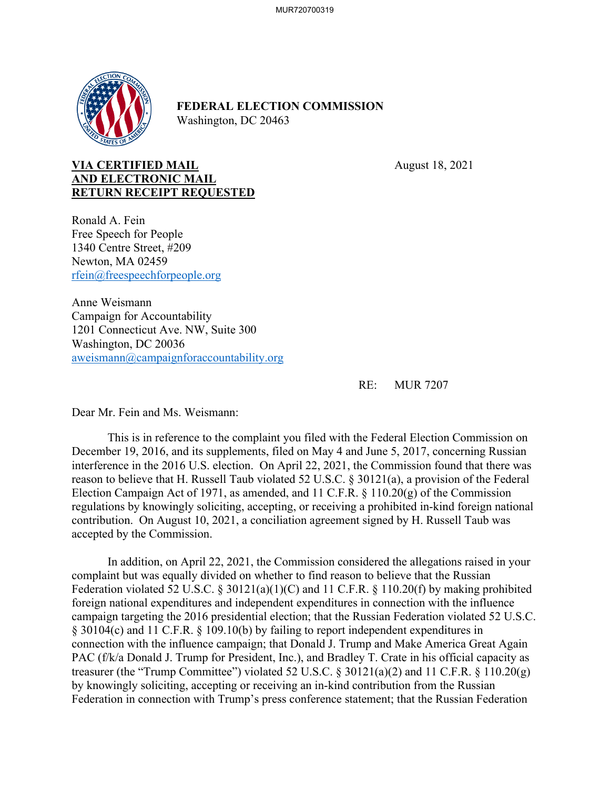

## **FEDERAL ELECTION COMMISSION** Washington, DC 20463

## **VIA CERTIFIED MAIL** August 18, 2021 **AND ELECTRONIC MAIL RETURN RECEIPT REQUESTED**

Ronald A. Fein Free Speech for People 1340 Centre Street, #209 Newton, MA 02459 rfein@freespeechforpeople.org

Anne Weismann Campaign for Accountability 1201 Connecticut Ave. NW, Suite 300 Washington, DC 20036 aweismann@campaignforaccountability.org

RE: MUR 7207

Dear Mr. Fein and Ms. Weismann:

This is in reference to the complaint you filed with the Federal Election Commission on December 19, 2016, and its supplements, filed on May 4 and June 5, 2017, concerning Russian interference in the 2016 U.S. election. On April 22, 2021, the Commission found that there was reason to believe that H. Russell Taub violated 52 U.S.C. § 30121(a), a provision of the Federal Election Campaign Act of 1971, as amended, and 11 C.F.R. § 110.20(g) of the Commission regulations by knowingly soliciting, accepting, or receiving a prohibited in-kind foreign national contribution. On August 10, 2021, a conciliation agreement signed by H. Russell Taub was accepted by the Commission.

 In addition, on April 22, 2021, the Commission considered the allegations raised in your complaint but was equally divided on whether to find reason to believe that the Russian Federation violated 52 U.S.C. § 30121(a)(1)(C) and 11 C.F.R. § 110.20(f) by making prohibited foreign national expenditures and independent expenditures in connection with the influence campaign targeting the 2016 presidential election; that the Russian Federation violated 52 U.S.C. § 30104(c) and 11 C.F.R. § 109.10(b) by failing to report independent expenditures in connection with the influence campaign; that Donald J. Trump and Make America Great Again PAC (f/k/a Donald J. Trump for President, Inc.), and Bradley T. Crate in his official capacity as treasurer (the "Trump Committee") violated 52 U.S.C. § 30121(a)(2) and 11 C.F.R. § 110.20(g) by knowingly soliciting, accepting or receiving an in-kind contribution from the Russian Federation in connection with Trump's press conference statement; that the Russian Federation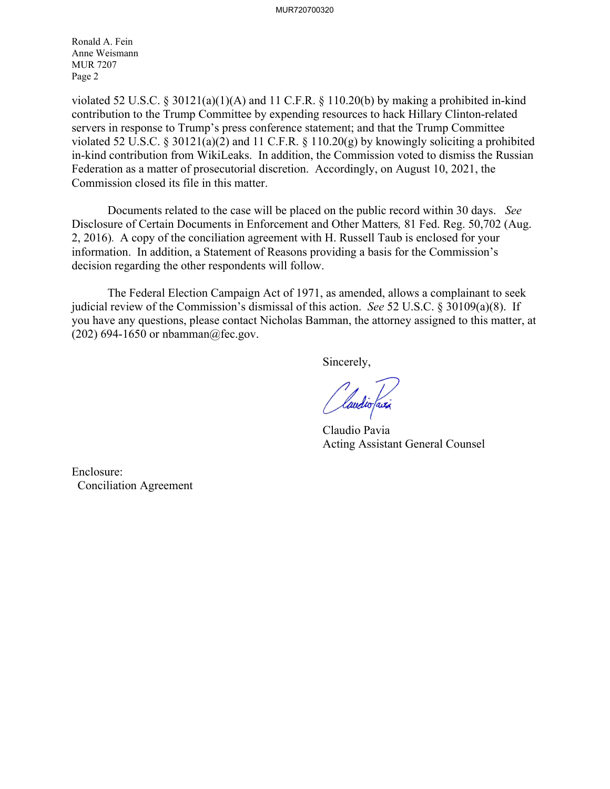Ronald A. Fein Anne Weismann MUR 7207 Page 2

violated 52 U.S.C. § 30121(a)(1)(A) and 11 C.F.R. § 110.20(b) by making a prohibited in-kind contribution to the Trump Committee by expending resources to hack Hillary Clinton-related servers in response to Trump's press conference statement; and that the Trump Committee violated 52 U.S.C. § 30121(a)(2) and 11 C.F.R. § 110.20(g) by knowingly soliciting a prohibited in-kind contribution from WikiLeaks. In addition, the Commission voted to dismiss the Russian Federation as a matter of prosecutorial discretion. Accordingly, on August 10, 2021, the Commission closed its file in this matter.

Documents related to the case will be placed on the public record within 30 days. *See*  Disclosure of Certain Documents in Enforcement and Other Matters*,* 81 Fed. Reg. 50,702 (Aug. 2, 2016). A copy of the conciliation agreement with H. Russell Taub is enclosed for your information. In addition, a Statement of Reasons providing a basis for the Commission's decision regarding the other respondents will follow.

 The Federal Election Campaign Act of 1971, as amended, allows a complainant to seek judicial review of the Commission's dismissal of this action. *See* 52 U.S.C. § 30109(a)(8). If you have any questions, please contact Nicholas Bamman, the attorney assigned to this matter, at (202) 694-1650 or nbamman@fec.gov.

Sincerely,

*(laudio faxi* 

 Claudio Pavia Acting Assistant General Counsel

Enclosure: Conciliation Agreement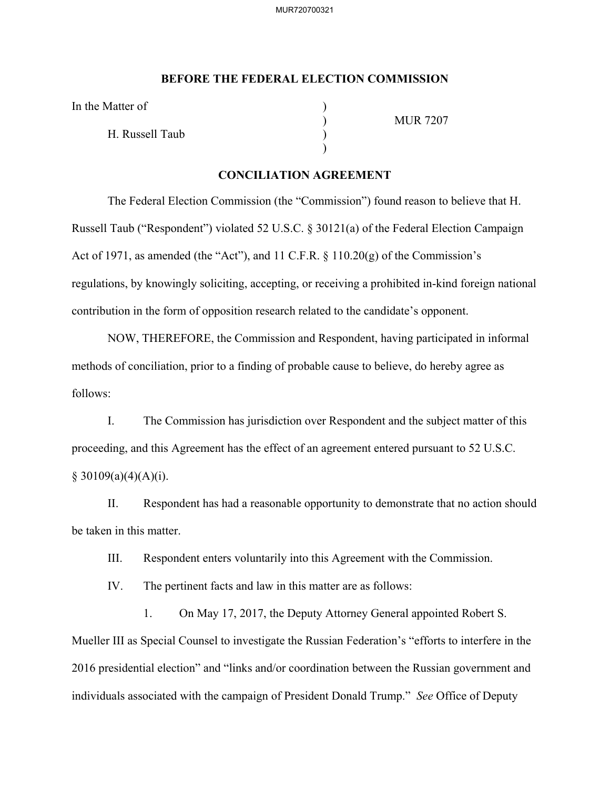## **BEFORE THE FEDERAL ELECTION COMMISSION**

In the Matter of

H. Russell Taub )

 $)$ 

) MUR 7207

## **CONCILIATION AGREEMENT**

The Federal Election Commission (the "Commission") found reason to believe that H. Russell Taub ("Respondent") violated 52 U.S.C. § 30121(a) of the Federal Election Campaign Act of 1971, as amended (the "Act"), and 11 C.F.R. § 110.20(g) of the Commission's regulations, by knowingly soliciting, accepting, or receiving a prohibited in-kind foreign national contribution in the form of opposition research related to the candidate's opponent.

NOW, THEREFORE, the Commission and Respondent, having participated in informal methods of conciliation, prior to a finding of probable cause to believe, do hereby agree as follows:

I. The Commission has jurisdiction over Respondent and the subject matter of this proceeding, and this Agreement has the effect of an agreement entered pursuant to 52 U.S.C.  $§ 30109(a)(4)(A)(i).$ 

II. Respondent has had a reasonable opportunity to demonstrate that no action should be taken in this matter.

III. Respondent enters voluntarily into this Agreement with the Commission.

IV. The pertinent facts and law in this matter are as follows:

1. On May 17, 2017, the Deputy Attorney General appointed Robert S. Mueller III as Special Counsel to investigate the Russian Federation's "efforts to interfere in the 2016 presidential election" and "links and/or coordination between the Russian government and individuals associated with the campaign of President Donald Trump." *See* Office of Deputy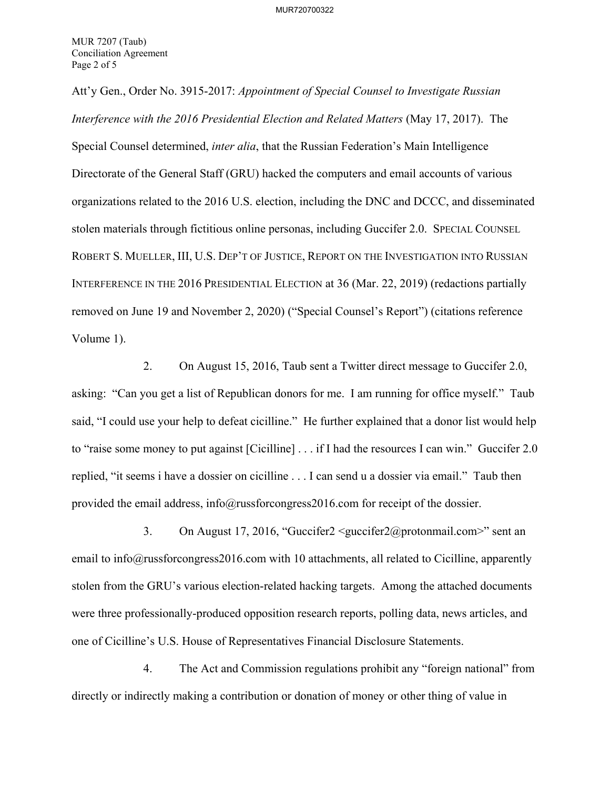Att'y Gen., Order No. 3915-2017: *Appointment of Special Counsel to Investigate Russian Interference with the 2016 Presidential Election and Related Matters* (May 17, 2017). The Special Counsel determined, *inter alia*, that the Russian Federation's Main Intelligence Directorate of the General Staff (GRU) hacked the computers and email accounts of various organizations related to the 2016 U.S. election, including the DNC and DCCC, and disseminated stolen materials through fictitious online personas, including Guccifer 2.0. SPECIAL COUNSEL ROBERT S. MUELLER, III, U.S. DEP'T OF JUSTICE, REPORT ON THE INVESTIGATION INTO RUSSIAN INTERFERENCE IN THE 2016 PRESIDENTIAL ELECTION at 36 (Mar. 22, 2019) (redactions partially removed on June 19 and November 2, 2020) ("Special Counsel's Report") (citations reference Volume 1).

2. On August 15, 2016, Taub sent a Twitter direct message to Guccifer 2.0, asking: "Can you get a list of Republican donors for me. I am running for office myself." Taub said, "I could use your help to defeat cicilline." He further explained that a donor list would help to "raise some money to put against [Cicilline] . . . if I had the resources I can win." Guccifer 2.0 replied, "it seems i have a dossier on cicilline . . . I can send u a dossier via email." Taub then provided the email address, info@russforcongress2016.com for receipt of the dossier.

3. On August 17, 2016, "Guccifer2 <guccifer2@protonmail.com>" sent an email to info@russforcongress2016.com with 10 attachments, all related to Cicilline, apparently stolen from the GRU's various election-related hacking targets. Among the attached documents were three professionally-produced opposition research reports, polling data, news articles, and one of Cicilline's U.S. House of Representatives Financial Disclosure Statements.

4. The Act and Commission regulations prohibit any "foreign national" from directly or indirectly making a contribution or donation of money or other thing of value in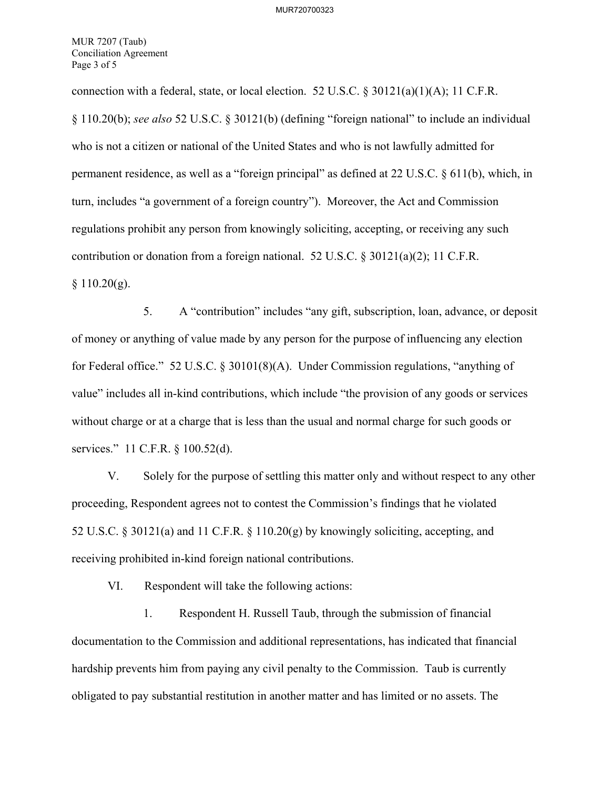MUR 7207 (Taub) Conciliation Agreement Page 3 of 5

connection with a federal, state, or local election. 52 U.S.C.  $\frac{830121(a)(1)(A)}{1}$ ; 11 C.F.R. § 110.20(b); *see also* 52 U.S.C. § 30121(b) (defining "foreign national" to include an individual who is not a citizen or national of the United States and who is not lawfully admitted for permanent residence, as well as a "foreign principal" as defined at 22 U.S.C. § 611(b), which, in turn, includes "a government of a foreign country"). Moreover, the Act and Commission regulations prohibit any person from knowingly soliciting, accepting, or receiving any such contribution or donation from a foreign national. 52 U.S.C. § 30121(a)(2); 11 C.F.R.  $§ 110.20(g).$ 

5. A "contribution" includes "any gift, subscription, loan, advance, or deposit of money or anything of value made by any person for the purpose of influencing any election for Federal office." 52 U.S.C. § 30101(8)(A). Under Commission regulations, "anything of value" includes all in-kind contributions, which include "the provision of any goods or services without charge or at a charge that is less than the usual and normal charge for such goods or services." 11 C.F.R. § 100.52(d).

V. Solely for the purpose of settling this matter only and without respect to any other proceeding, Respondent agrees not to contest the Commission's findings that he violated 52 U.S.C. § 30121(a) and 11 C.F.R. § 110.20(g) by knowingly soliciting, accepting, and receiving prohibited in-kind foreign national contributions.

VI. Respondent will take the following actions:

1. Respondent H. Russell Taub, through the submission of financial documentation to the Commission and additional representations, has indicated that financial hardship prevents him from paying any civil penalty to the Commission. Taub is currently obligated to pay substantial restitution in another matter and has limited or no assets. The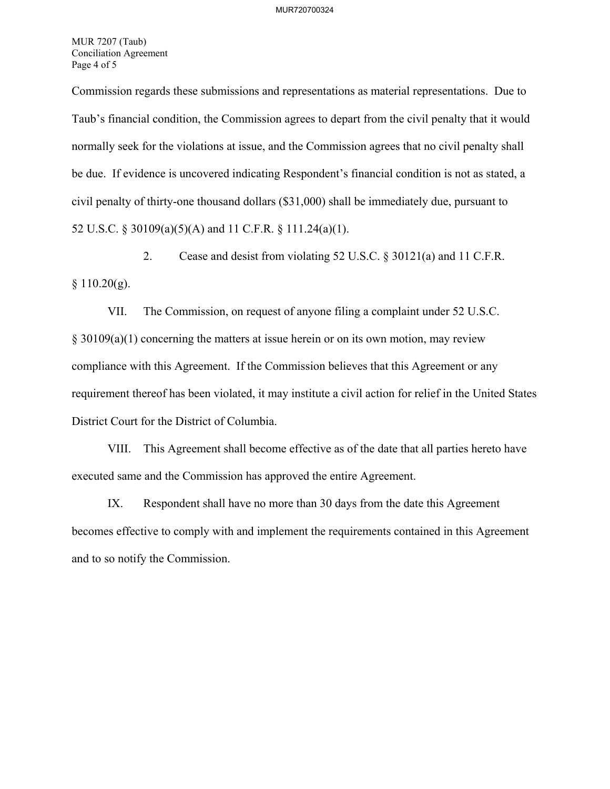MUR 7207 (Taub) Conciliation Agreement Page 4 of 5

Commission regards these submissions and representations as material representations. Due to Taub's financial condition, the Commission agrees to depart from the civil penalty that it would normally seek for the violations at issue, and the Commission agrees that no civil penalty shall be due. If evidence is uncovered indicating Respondent's financial condition is not as stated, a civil penalty of thirty-one thousand dollars (\$31,000) shall be immediately due, pursuant to 52 U.S.C. § 30109(a)(5)(A) and 11 C.F.R. § 111.24(a)(1).

2. Cease and desist from violating 52 U.S.C. § 30121(a) and 11 C.F.R.  $§ 110.20(g).$ 

VII. The Commission, on request of anyone filing a complaint under 52 U.S.C. § 30109(a)(1) concerning the matters at issue herein or on its own motion, may review compliance with this Agreement. If the Commission believes that this Agreement or any requirement thereof has been violated, it may institute a civil action for relief in the United States District Court for the District of Columbia.

VIII. This Agreement shall become effective as of the date that all parties hereto have executed same and the Commission has approved the entire Agreement.

IX. Respondent shall have no more than 30 days from the date this Agreement becomes effective to comply with and implement the requirements contained in this Agreement and to so notify the Commission.